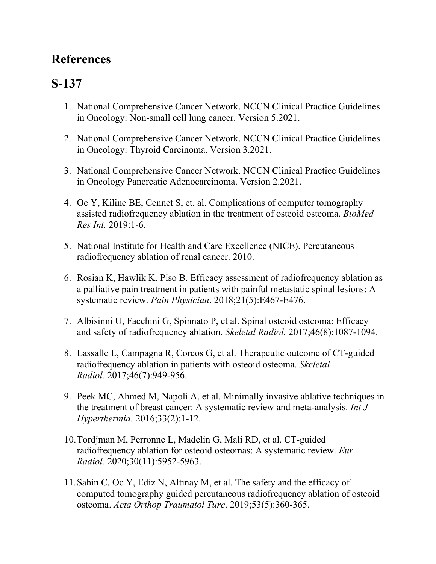## **References**

## **S-137**

- 1. National Comprehensive Cancer Network. NCCN Clinical Practice Guidelines in Oncology: Non-small cell lung cancer. Version 5.2021.
- 2. National Comprehensive Cancer Network. NCCN Clinical Practice Guidelines in Oncology: Thyroid Carcinoma. Version 3.2021.
- 3. National Comprehensive Cancer Network. NCCN Clinical Practice Guidelines in Oncology Pancreatic Adenocarcinoma. Version 2.2021.
- 4. Oc Y, Kilinc BE, Cennet S, et. al. Complications of computer tomography assisted radiofrequency ablation in the treatment of osteoid osteoma. *BioMed Res Int.* 2019:1-6.
- 5. National Institute for Health and Care Excellence (NICE). Percutaneous radiofrequency ablation of renal cancer. 2010.
- 6. Rosian K, Hawlik K, Piso B. Efficacy assessment of radiofrequency ablation as a palliative pain treatment in patients with painful metastatic spinal lesions: A systematic review. *Pain Physician*. 2018;21(5):E467-E476.
- 7. Albisinni U, Facchini G, Spinnato P, et al. Spinal osteoid osteoma: Efficacy and safety of radiofrequency ablation. *Skeletal Radiol.* 2017;46(8):1087-1094.
- 8. Lassalle L, Campagna R, Corcos G, et al. Therapeutic outcome of CT-guided radiofrequency ablation in patients with osteoid osteoma. *Skeletal Radiol.* 2017;46(7):949-956.
- 9. Peek MC, Ahmed M, Napoli A, et al. Minimally invasive ablative techniques in the treatment of breast cancer: A systematic review and meta-analysis. *Int J Hyperthermia.* 2016;33(2):1-12.
- 10.Tordjman M, Perronne L, Madelin G, Mali RD, et al. CT-guided radiofrequency ablation for osteoid osteomas: A systematic review. *Eur Radiol.* 2020;30(11):5952-5963.
- 11.Sahin C, Oc Y, Ediz N, Altınay M, et al. The safety and the efficacy of computed tomography guided percutaneous radiofrequency ablation of osteoid osteoma. *Acta Orthop Traumatol Turc*. 2019;53(5):360-365.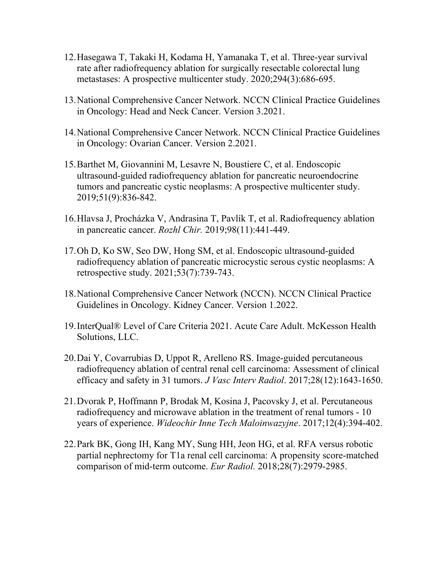- 12.Hasegawa T, Takaki H, Kodama H, Yamanaka T, et al. Three-year survival rate after radiofrequency ablation for surgically resectable colorectal lung metastases: A prospective multicenter study. 2020;294(3):686-695.
- 13.National Comprehensive Cancer Network. NCCN Clinical Practice Guidelines in Oncology: Head and Neck Cancer. Version 3.2021.
- 14.National Comprehensive Cancer Network. NCCN Clinical Practice Guidelines in Oncology: Ovarian Cancer. Version 2.2021.
- 15.Barthet M, Giovannini M, Lesavre N, Boustiere C, et al. Endoscopic ultrasound-guided radiofrequency ablation for pancreatic neuroendocrine tumors and pancreatic cystic neoplasms: A prospective multicenter study. 2019;51(9):836-842.
- 16.Hlavsa J, Procházka V, Andrasina T, Pavlík T, et al. Radiofrequency ablation in pancreatic cancer. *Rozhl Chir.* 2019;98(11):441-449.
- 17.Oh D, Ko SW, Seo DW, Hong SM, et al. Endoscopic ultrasound-guided radiofrequency ablation of pancreatic microcystic serous cystic neoplasms: A retrospective study. 2021;53(7):739-743.
- 18.National Comprehensive Cancer Network (NCCN). NCCN Clinical Practice Guidelines in Oncology. Kidney Cancer. Version 1.2022.
- 19.InterQual® Level of Care Criteria 2021. Acute Care Adult. McKesson Health Solutions, LLC.
- 20.Dai Y, Covarrubias D, Uppot R, Arelleno RS. Image-guided percutaneous radiofrequency ablation of central renal cell carcinoma: Assessment of clinical efficacy and safety in 31 tumors. *J Vasc Interv Radiol*. 2017;28(12):1643-1650.
- 21.Dvorak P, Hoffmann P, Brodak M, Kosina J, Pacovsky J, et al. Percutaneous radiofrequency and microwave ablation in the treatment of renal tumors - 10 years of experience. *Wideochir Inne Tech Maloinwazyjne*. 2017;12(4):394-402.
- 22.Park BK, Gong IH, Kang MY, Sung HH, Jeon HG, et al. RFA versus robotic partial nephrectomy for T1a renal cell carcinoma: A propensity score-matched comparison of mid-term outcome. *Eur Radiol.* 2018;28(7):2979-2985.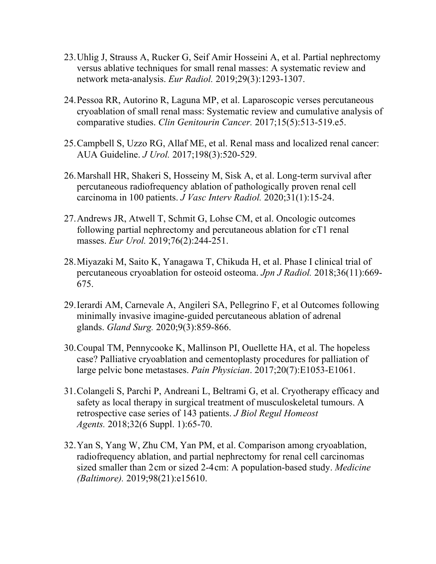- 23.Uhlig J, Strauss A, Rucker G, Seif Amir Hosseini A, et al. Partial nephrectomy versus ablative techniques for small renal masses: A systematic review and network meta-analysis. *Eur Radiol.* 2019;29(3):1293-1307.
- 24.Pessoa RR, Autorino R, Laguna MP, et al. Laparoscopic verses percutaneous cryoablation of small renal mass: Systematic review and cumulative analysis of comparative studies. *Clin Genitourin Cancer.* 2017;15(5):513-519.e5.
- 25.Campbell S, Uzzo RG, Allaf ME, et al. Renal mass and localized renal cancer: AUA Guideline. *J Urol.* 2017;198(3):520-529.
- 26.Marshall HR, Shakeri S, Hosseiny M, Sisk A, et al. Long-term survival after percutaneous radiofrequency ablation of pathologically proven renal cell carcinoma in 100 patients. *J Vasc Interv Radiol.* 2020;31(1):15-24.
- 27.Andrews JR, Atwell T, Schmit G, Lohse CM, et al. Oncologic outcomes following partial nephrectomy and percutaneous ablation for cT1 renal masses. *Eur Urol.* 2019;76(2):244-251.
- 28.Miyazaki M, Saito K, Yanagawa T, Chikuda H, et al. Phase I clinical trial of percutaneous cryoablation for osteoid osteoma. *Jpn J Radiol.* 2018;36(11):669- 675.
- 29.Ierardi AM, Carnevale A, Angileri SA, Pellegrino F, et al Outcomes following minimally invasive imagine-guided percutaneous ablation of adrenal glands. *Gland Surg.* 2020;9(3):859-866.
- 30.Coupal TM, Pennycooke K, Mallinson PI, Ouellette HA, et al. The hopeless case? Palliative cryoablation and cementoplasty procedures for palliation of large pelvic bone metastases. *Pain Physician*. 2017;20(7):E1053-E1061.
- 31.Colangeli S, Parchi P, Andreani L, Beltrami G, et al. Cryotherapy efficacy and safety as local therapy in surgical treatment of musculoskeletal tumours. A retrospective case series of 143 patients. *J Biol Regul Homeost Agents.* 2018;32(6 Suppl. 1):65-70.
- 32.Yan S, Yang W, Zhu CM, Yan PM, et al. Comparison among cryoablation, radiofrequency ablation, and partial nephrectomy for renal cell carcinomas sized smaller than 2 cm or sized 2-4 cm: A population-based study. *Medicine (Baltimore).* 2019;98(21):e15610.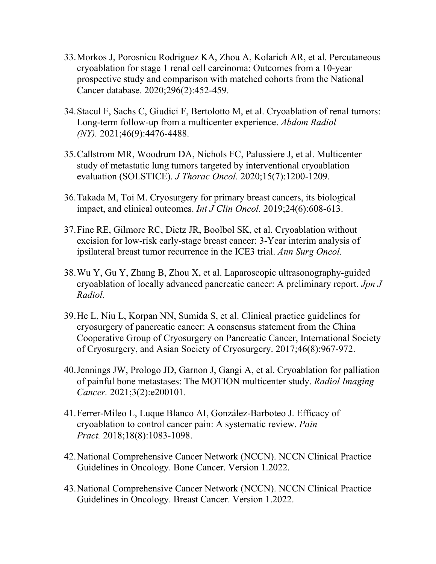- 33.Morkos J, Porosnicu Rodriguez KA, Zhou A, Kolarich AR, et al. Percutaneous cryoablation for stage 1 renal cell carcinoma: Outcomes from a 10-year prospective study and comparison with matched cohorts from the National Cancer database. 2020;296(2):452-459.
- 34.Stacul F, Sachs C, Giudici F, Bertolotto M, et al. Cryoablation of renal tumors: Long-term follow-up from a multicenter experience. *Abdom Radiol (NY).* 2021;46(9):4476-4488.
- 35.Callstrom MR, Woodrum DA, Nichols FC, Palussiere J, et al. Multicenter study of metastatic lung tumors targeted by interventional cryoablation evaluation (SOLSTICE). *J Thorac Oncol.* 2020;15(7):1200-1209.
- 36.Takada M, Toi M. Cryosurgery for primary breast cancers, its biological impact, and clinical outcomes. *Int J Clin Oncol.* 2019;24(6):608-613.
- 37.Fine RE, Gilmore RC, Dietz JR, Boolbol SK, et al. Cryoablation without excision for low-risk early-stage breast cancer: 3-Year interim analysis of ipsilateral breast tumor recurrence in the ICE3 trial. *Ann Surg Oncol.*
- 38.Wu Y, Gu Y, Zhang B, Zhou X, et al. Laparoscopic ultrasonography-guided cryoablation of locally advanced pancreatic cancer: A preliminary report. *Jpn J Radiol.*
- 39.He L, Niu L, Korpan NN, Sumida S, et al. Clinical practice guidelines for cryosurgery of pancreatic cancer: A consensus statement from the China Cooperative Group of Cryosurgery on Pancreatic Cancer, International Society of Cryosurgery, and Asian Society of Cryosurgery. 2017;46(8):967-972.
- 40.Jennings JW, Prologo JD, Garnon J, Gangi A, et al. Cryoablation for palliation of painful bone metastases: The MOTION multicenter study. *Radiol Imaging Cancer.* 2021;3(2):e200101.
- 41.Ferrer-Mileo L, Luque Blanco AI, González-Barboteo J. Efficacy of cryoablation to control cancer pain: A systematic review. *Pain Pract.* 2018;18(8):1083-1098.
- 42.National Comprehensive Cancer Network (NCCN). NCCN Clinical Practice Guidelines in Oncology. Bone Cancer. Version 1.2022.
- 43.National Comprehensive Cancer Network (NCCN). NCCN Clinical Practice Guidelines in Oncology. Breast Cancer. Version 1.2022.